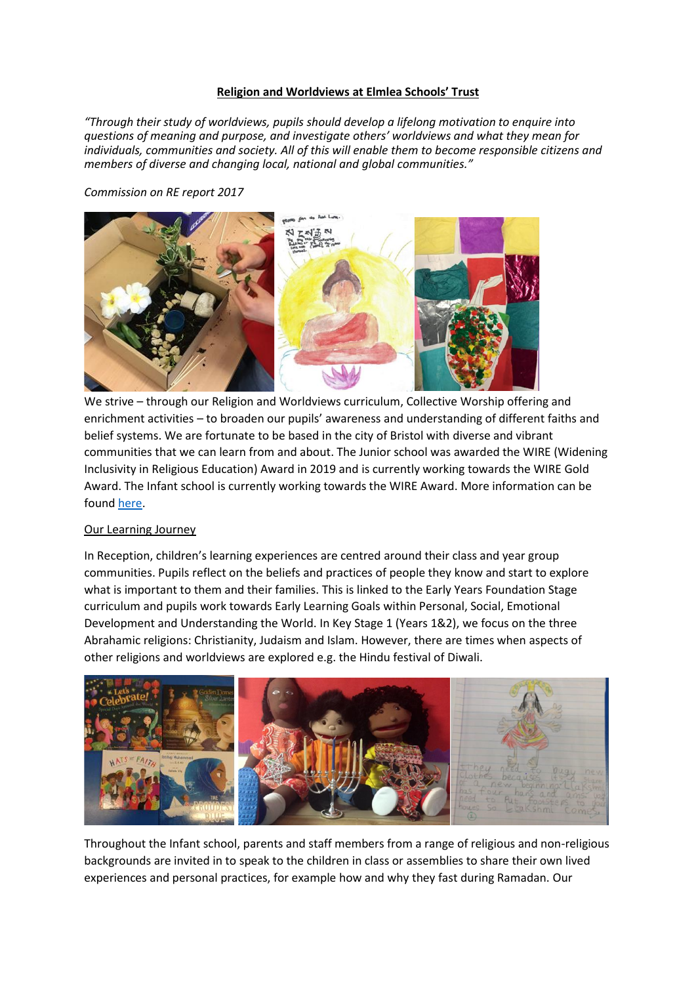### **Religion and Worldviews at Elmlea Schools' Trust**

*"Through their study of worldviews, pupils should develop a lifelong motivation to enquire into questions of meaning and purpose, and investigate others' worldviews and what they mean for individuals, communities and society. All of this will enable them to become responsible citizens and members of diverse and changing local, national and global communities."* 

*Commission on RE report 2017*



We strive – through our Religion and Worldviews curriculum, Collective Worship offering and enrichment activities – to broaden our pupils' awareness and understanding of different faiths and belief systems. We are fortunate to be based in the city of Bristol with diverse and vibrant communities that we can learn from and about. The Junior school was awarded the WIRE (Widening Inclusivity in Religious Education) Award in 2019 and is currently working towards the WIRE Gold Award. The Infant school is currently working towards the WIRE Award. More information can be found [here.](https://bristolsacre.org.uk/site/religious-eduction/wire-award/)

## Our Learning Journey

In Reception, children's learning experiences are centred around their class and year group communities. Pupils reflect on the beliefs and practices of people they know and start to explore what is important to them and their families. This is linked to the Early Years Foundation Stage curriculum and pupils work towards Early Learning Goals within Personal, Social, Emotional Development and Understanding the World. In Key Stage 1 (Years 1&2), we focus on the three Abrahamic religions: Christianity, Judaism and Islam. However, there are times when aspects of other religions and worldviews are explored e.g. the Hindu festival of Diwali.



Throughout the Infant school, parents and staff members from a range of religious and non-religious backgrounds are invited in to speak to the children in class or assemblies to share their own lived experiences and personal practices, for example how and why they fast during Ramadan. Our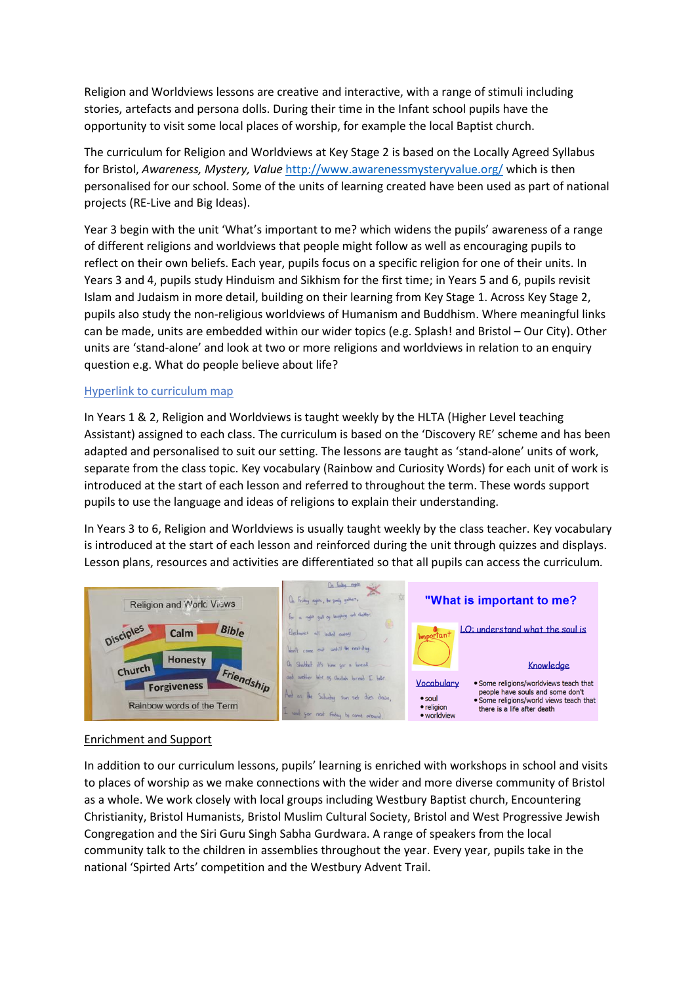Religion and Worldviews lessons are creative and interactive, with a range of stimuli including stories, artefacts and persona dolls. During their time in the Infant school pupils have the opportunity to visit some local places of worship, for example the local Baptist church.

The curriculum for Religion and Worldviews at Key Stage 2 is based on the Locally Agreed Syllabus for Bristol, *Awareness, Mystery, Value* <http://www.awarenessmysteryvalue.org/> which is then personalised for our school. Some of the units of learning created have been used as part of national projects (RE-Live and Big Ideas).

Year 3 begin with the unit 'What's important to me? which widens the pupils' awareness of a range of different religions and worldviews that people might follow as well as encouraging pupils to reflect on their own beliefs. Each year, pupils focus on a specific religion for one of their units. In Years 3 and 4, pupils study Hinduism and Sikhism for the first time; in Years 5 and 6, pupils revisit Islam and Judaism in more detail, building on their learning from Key Stage 1. Across Key Stage 2, pupils also study the non-religious worldviews of Humanism and Buddhism. Where meaningful links can be made, units are embedded within our wider topics (e.g. Splash! and Bristol – Our City). Other units are 'stand-alone' and look at two or more religions and worldviews in relation to an enquiry question e.g. What do people believe about life?

## Hyperlink to curriculum map

In Years 1 & 2, Religion and Worldviews is taught weekly by the HLTA (Higher Level teaching Assistant) assigned to each class. The curriculum is based on the 'Discovery RE' scheme and has been adapted and personalised to suit our setting. The lessons are taught as 'stand-alone' units of work, separate from the class topic. Key vocabulary (Rainbow and Curiosity Words) for each unit of work is introduced at the start of each lesson and referred to throughout the term. These words support pupils to use the language and ideas of religions to explain their understanding.

In Years 3 to 6, Religion and Worldviews is usually taught weekly by the class teacher. Key vocabulary is introduced at the start of each lesson and reinforced during the unit through quizzes and displays. Lesson plans, resources and activities are differentiated so that all pupils can access the curriculum*.*



## Enrichment and Support

In addition to our curriculum lessons, pupils' learning is enriched with workshops in school and visits to places of worship as we make connections with the wider and more diverse community of Bristol as a whole. We work closely with local groups including Westbury Baptist church, Encountering Christianity, Bristol Humanists, Bristol Muslim Cultural Society, Bristol and West Progressive Jewish Congregation and the Siri Guru Singh Sabha Gurdwara. A range of speakers from the local community talk to the children in assemblies throughout the year. Every year, pupils take in the national 'Spirted Arts' competition and the Westbury Advent Trail.